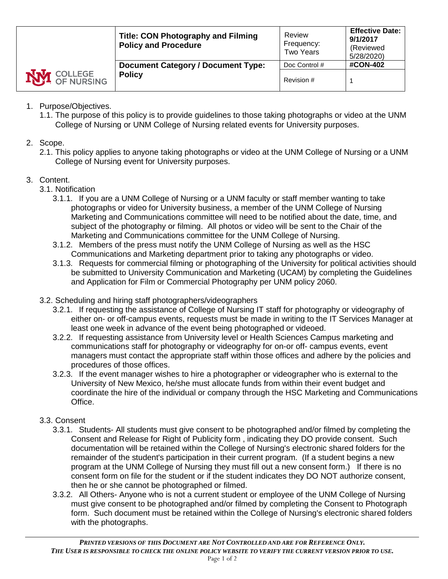|                    | <b>Title: CON Photography and Filming</b><br><b>Policy and Procedure</b> | Review<br>Frequency:<br><b>Two Years</b> | <b>Effective Date:</b><br>9/1/2017<br>(Reviewed)<br>5/28/2020) |
|--------------------|--------------------------------------------------------------------------|------------------------------------------|----------------------------------------------------------------|
|                    | <b>Document Category / Document Type:</b>                                | Doc Control #                            | <b>#CON-402</b>                                                |
| <b>NVI</b> COLLEGE | <b>Policy</b>                                                            | Revision #                               |                                                                |

- 1. Purpose/Objectives.
	- 1.1. The purpose of this policy is to provide guidelines to those taking photographs or video at the UNM College of Nursing or UNM College of Nursing related events for University purposes.
- 2. Scope.
	- 2.1. This policy applies to anyone taking photographs or video at the UNM College of Nursing or a UNM College of Nursing event for University purposes.
- 3. Content.
	- 3.1. Notification
		- 3.1.1. If you are a UNM College of Nursing or a UNM faculty or staff member wanting to take photographs or video for University business, a member of the UNM College of Nursing Marketing and Communications committee will need to be notified about the date, time, and subject of the photography or filming. All photos or video will be sent to the Chair of the Marketing and Communications committee for the UNM College of Nursing.
		- 3.1.2. Members of the press must notify the UNM College of Nursing as well as the HSC Communications and Marketing department prior to taking any photographs or video.
		- 3.1.3. Requests for commercial filming or photographing of the University for political activities should be submitted to University Communication and Marketing (UCAM) by completing the Guidelines and Application for Film or Commercial Photography per UNM policy 2060.
	- 3.2. Scheduling and hiring staff photographers/videographers
		- 3.2.1. If requesting the assistance of College of Nursing IT staff for photography or videography of either on- or off-campus events, requests must be made in writing to the IT Services Manager at least one week in advance of the event being photographed or videoed.
		- 3.2.2. If requesting assistance from University level or Health Sciences Campus marketing and communications staff for photography or videography for on-or off- campus events, event managers must contact the appropriate staff within those offices and adhere by the policies and procedures of those offices.
		- 3.2.3. If the event manager wishes to hire a photographer or videographer who is external to the University of New Mexico, he/she must allocate funds from within their event budget and coordinate the hire of the individual or company through the HSC Marketing and Communications Office.

## 3.3. Consent

- 3.3.1. Students- All students must give consent to be photographed and/or filmed by completing the Consent and Release for Right of Publicity form , indicating they DO provide consent. Such documentation will be retained within the College of Nursing's electronic shared folders for the remainder of the student's participation in their current program. (If a student begins a new program at the UNM College of Nursing they must fill out a new consent form.) If there is no consent form on file for the student or if the student indicates they DO NOT authorize consent, then he or she cannot be photographed or filmed.
- 3.3.2. All Others- Anyone who is not a current student or employee of the UNM College of Nursing must give consent to be photographed and/or filmed by completing the Consent to Photograph form. Such document must be retained within the College of Nursing's electronic shared folders with the photographs.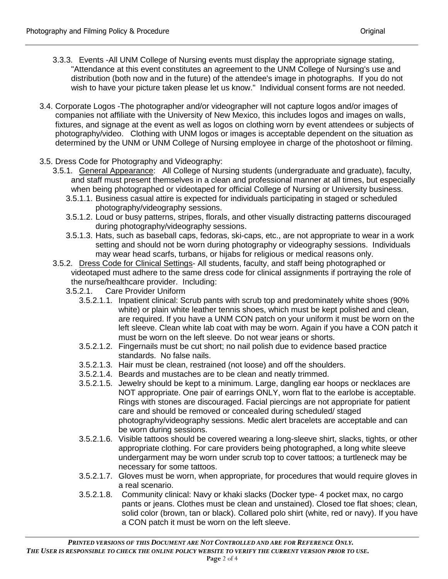- 3.3.3. Events -All UNM College of Nursing events must display the appropriate signage stating, "Attendance at this event constitutes an agreement to the UNM College of Nursing's use and distribution (both now and in the future) of the attendee's image in photographs. If you do not wish to have your picture taken please let us know." Individual consent forms are not needed.
- 3.4. Corporate Logos -The photographer and/or videographer will not capture logos and/or images of companies not affiliate with the University of New Mexico, this includes logos and images on walls, fixtures, and signage at the event as well as logos on clothing worn by event attendees or subjects of photography/video. Clothing with UNM logos or images is acceptable dependent on the situation as determined by the UNM or UNM College of Nursing employee in charge of the photoshoot or filming.
- 3.5. Dress Code for Photography and Videography:
	- 3.5.1. General Appearance: All College of Nursing students (undergraduate and graduate), faculty, and staff must present themselves in a clean and professional manner at all times, but especially when being photographed or videotaped for official College of Nursing or University business.
		- 3.5.1.1. Business casual attire is expected for individuals participating in staged or scheduled photography/videography sessions.
		- 3.5.1.2. Loud or busy patterns, stripes, florals, and other visually distracting patterns discouraged during photography/videography sessions.
		- 3.5.1.3. Hats, such as baseball caps, fedoras, ski-caps, etc., are not appropriate to wear in a work setting and should not be worn during photography or videography sessions. Individuals may wear head scarfs, turbans, or hijabs for religious or medical reasons only.
	- 3.5.2. Dress Code for Clinical Settings- All students, faculty, and staff being photographed or videotaped must adhere to the same dress code for clinical assignments if portraying the role of the nurse/healthcare provider. Including:
		- 3.5.2.1. Care Provider Uniform
			- 3.5.2.1.1. Inpatient clinical: Scrub pants with scrub top and predominately white shoes (90% white) or plain white leather tennis shoes, which must be kept polished and clean, are required. If you have a UNM CON patch on your uniform it must be worn on the left sleeve. Clean white lab coat with may be worn. Again if you have a CON patch it must be worn on the left sleeve. Do not wear jeans or shorts.
			- 3.5.2.1.2. Fingernails must be cut short; no nail polish due to evidence based practice standards. No false nails.
			- 3.5.2.1.3. Hair must be clean, restrained (not loose) and off the shoulders.
			- 3.5.2.1.4. Beards and mustaches are to be clean and neatly trimmed.
			- 3.5.2.1.5. Jewelry should be kept to a minimum. Large, dangling ear hoops or necklaces are NOT appropriate. One pair of earrings ONLY, worn flat to the earlobe is acceptable. Rings with stones are discouraged. Facial piercings are not appropriate for patient care and should be removed or concealed during scheduled/ staged photography/videography sessions. Medic alert bracelets are acceptable and can be worn during sessions.
			- 3.5.2.1.6. Visible tattoos should be covered wearing a long-sleeve shirt, slacks, tights, or other appropriate clothing. For care providers being photographed, a long white sleeve undergarment may be worn under scrub top to cover tattoos; a turtleneck may be necessary for some tattoos.
			- 3.5.2.1.7. Gloves must be worn, when appropriate, for procedures that would require gloves in a real scenario.
			- 3.5.2.1.8. Community clinical: Navy or khaki slacks (Docker type- 4 pocket max, no cargo pants or jeans. Clothes must be clean and unstained). Closed toe flat shoes; clean, solid color (brown, tan or black). Collared polo shirt (white, red or navy). If you have a CON patch it must be worn on the left sleeve.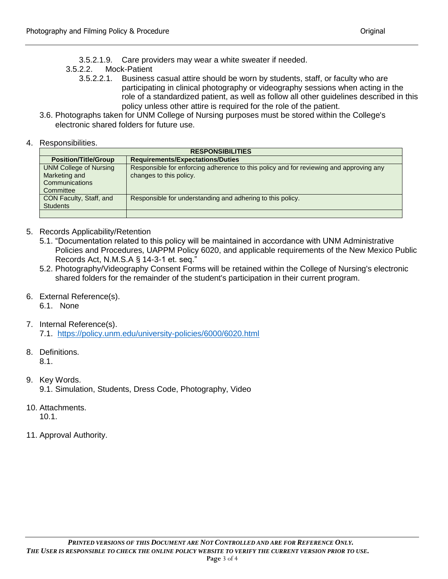- 3.5.2.1.9. Care providers may wear a white sweater if needed.
- 3.5.2.2. Mock-Patient
	- 3.5.2.2.1. Business casual attire should be worn by students, staff, or faculty who are participating in clinical photography or videography sessions when acting in the role of a standardized patient, as well as follow all other guidelines described in this policy unless other attire is required for the role of the patient.
- 3.6. Photographs taken for UNM College of Nursing purposes must be stored within the College's electronic shared folders for future use.
- 4. Responsibilities.

| <b>RESPONSIBILITIES</b>                                                       |                                                                                                                   |  |  |  |
|-------------------------------------------------------------------------------|-------------------------------------------------------------------------------------------------------------------|--|--|--|
| <b>Position/Title/Group</b>                                                   | <b>Requirements/Expectations/Duties</b>                                                                           |  |  |  |
| <b>UNM College of Nursing</b><br>Marketing and<br>Communications<br>Committee | Responsible for enforcing adherence to this policy and for reviewing and approving any<br>changes to this policy. |  |  |  |
| CON Faculty, Staff, and<br><b>Students</b>                                    | Responsible for understanding and adhering to this policy.                                                        |  |  |  |

- 5. Records Applicability/Retention
	- 5.1. "Documentation related to this policy will be maintained in accordance with UNM Administrative Policies and Procedures, UAPPM Policy 6020, and applicable requirements of the New Mexico Public Records Act, N.M.S.A § 14-3-1 et. seq."
	- 5.2. Photography/Videography Consent Forms will be retained within the College of Nursing's electronic shared folders for the remainder of the student's participation in their current program.
- 6. External Reference(s).
	- 6.1. None
- 7. Internal Reference(s).

7.1. <https://policy.unm.edu/university-policies/6000/6020.html>

- 8. Definitions. 8.1.
- 9. Key Words. 9.1. Simulation, Students, Dress Code, Photography, Video
- 10. Attachments. 10.1.
- 11. Approval Authority.